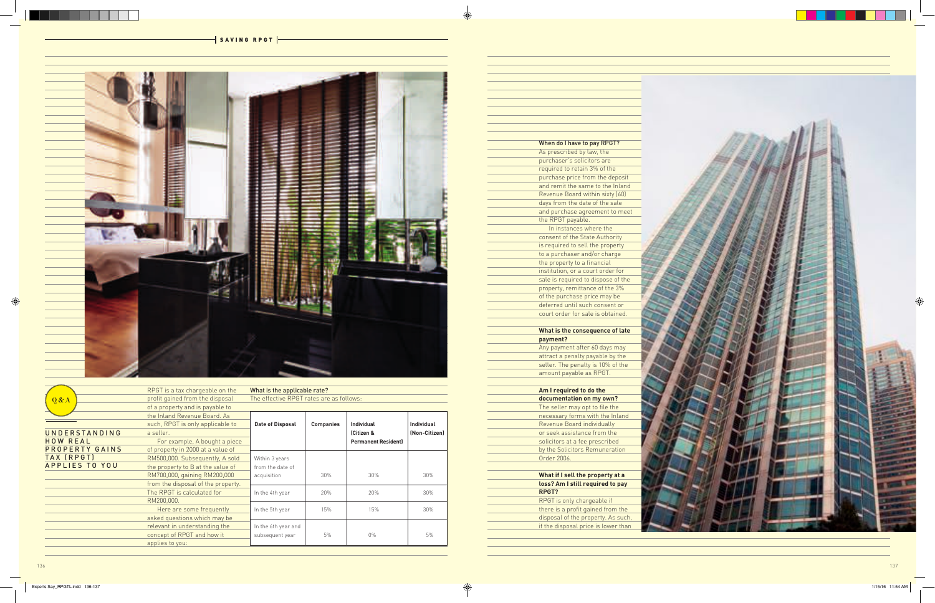

 $-$  SAVING RPGT  $|-$ 

| When do I have to pay RPGT?        |
|------------------------------------|
| As prescribed by law, the          |
| purchaser's solicitors are         |
| required to retain 3% of the       |
| purchase price from the deposit    |
| and remit the same to the Inland   |
| Revenue Board within sixty (60)    |
| days from the date of the sale     |
| and purchase agreement to meet     |
| the RPGT payable.                  |
| In instances where the             |
| consent of the State Authority     |
| is required to sell the property   |
| to a purchaser and/or charge       |
| the property to a financial        |
| institution, or a court order for  |
| sale is required to dispose of the |
| property, remittance of the 3%     |
| of the purchase price may be       |
| deferred until such consent or     |
| court order for sale is obtained.  |
|                                    |
| What is the consequence of late    |
| payment?                           |
| Any payment after 60 days may      |

|                       | RPGT is a tax chargeable on the    | What is the applicable rate?             |                  |                            |                   |
|-----------------------|------------------------------------|------------------------------------------|------------------|----------------------------|-------------------|
| Q & A                 | profit gained from the disposal    | The effective RPGT rates are as follows: |                  |                            |                   |
|                       | of a property and is payable to    |                                          |                  |                            |                   |
|                       | the Inland Revenue Board, As       |                                          |                  |                            |                   |
|                       | such, RPGT is only applicable to   | <b>Date of Disposal</b>                  | <b>Companies</b> | <b>Individual</b>          | <b>Individual</b> |
| <b>UNDERSTANDING</b>  | a seller.                          |                                          |                  | (Citizen &                 | (Non-Citizen)     |
| <b>HOW REAL</b>       | For example, A bought a piece      |                                          |                  | <b>Permanent Resident)</b> |                   |
| PROPERTY GAINS        | of property in 2000 at a value of  |                                          |                  |                            |                   |
| TAX (RPGT)            | RM500,000. Subsequently, A sold    | Within 3 years                           |                  |                            |                   |
| <b>APPLIES TO YOU</b> | the property to B at the value of  | from the date of                         |                  |                            |                   |
|                       | RM700,000, gaining RM200,000       | acquisition                              | 30%              | 30%                        | 30%               |
|                       | from the disposal of the property. |                                          |                  |                            |                   |
|                       | The RPGT is calculated for         | In the 4th year                          | 20%              | 20%                        | 30%               |
|                       | RM200,000.                         |                                          |                  |                            |                   |
|                       | Here are some frequently           | In the 5th year                          | 15%              | 15%                        | 30%               |
|                       | asked questions which may be       |                                          |                  |                            |                   |
|                       | relevant in understanding the      | In the 6th year and                      |                  |                            |                   |
|                       | concept of RPGT and how it         | subsequent year                          | $5\%$            | $0\%$                      | 5%                |
|                       | applies to you:                    |                                          |                  |                            |                   |
|                       |                                    |                                          |                  |                            |                   |

# **payment?**

Any payment after 60 days may attract a penalty payable by the seller. The penalty is 10% of the amount payable as RPGT.

## **Am I required to do the**

| documentation on my own?            |
|-------------------------------------|
| The seller may opt to file the      |
| necessary forms with the Inland     |
| Revenue Board individually          |
| or seek assistance from the         |
| solicitors at a fee prescribed      |
| by the Solicitors Remuneration      |
| Order 2006.                         |
|                                     |
| What if I sell the property at a    |
| loss? Am I still required to pay    |
| RPGT?                               |
| RPGT is only chargeable if          |
| there is a profit gained from the   |
| disposal of the property. As such,  |
| if the disposal price is lower than |
|                                     |
|                                     |

| What if I sell the property at a    |
|-------------------------------------|
| loss? Am I still required to pay    |
| RPGT?                               |
| RPGT is only chargeable if          |
| there is a profit gained from the   |
| disposal of the property. As such,  |
| if the disposal price is lower than |
|                                     |

 $\bigoplus$ 

 $\bigoplus$